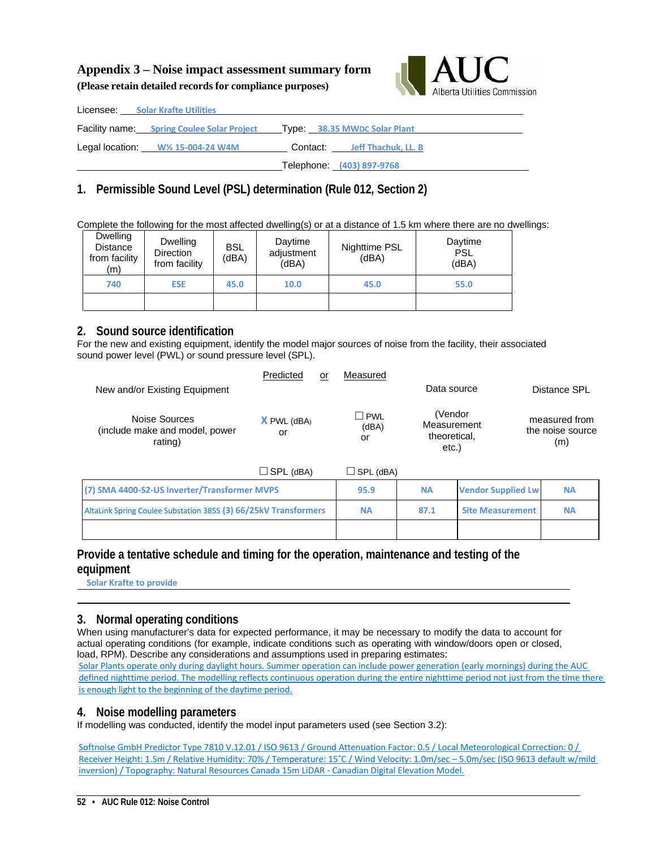## **Appendix 3 – Noise impact assessment summary form (Please retain detailed records for compliance purposes)**



| Licensee: Solar Krafte Utilities                                               |                              |
|--------------------------------------------------------------------------------|------------------------------|
| <b>Facility name:</b> Spring Coulee Solar Project Type: 38.35 MWDC Solar Plant |                              |
| Legal location: $W\frac{1}{2}$ 15-004-24 W4M                                   | Contact: Jeff Thachuk, LL. B |
|                                                                                | Telephone: (403) 897-9768    |

# **1. Permissible Sound Level (PSL) determination (Rule 012***,* **Section 2)**

Complete the following for the most affected dwelling(s) or at a distance of 1.5 km where there are no dwellings:

| Dwelling<br>Distance<br>from facility<br>(m) | Dwelling<br><b>Direction</b><br>from facility | <b>BSL</b><br>(dBA) | Daytime<br>adjustment<br>(dBA) | Nighttime PSL<br>(dBA) | Daytime<br><b>PSL</b><br>(dBA) |
|----------------------------------------------|-----------------------------------------------|---------------------|--------------------------------|------------------------|--------------------------------|
| 740                                          | <b>ESE</b>                                    | 45.0                | 10.0                           | 45.0                   | 55.0                           |
|                                              |                                               |                     |                                |                        |                                |

#### **2. Sound source identification**

For the new and existing equipment, identify the model major sources of noise from the facility, their associated sound power level (PWL) or sound pressure level (SPL).

| New and/or Existing Equipment                              | Predicted               | or | Measured                  | Data source                                     | Distance SPL                             |
|------------------------------------------------------------|-------------------------|----|---------------------------|-------------------------------------------------|------------------------------------------|
| Noise Sources<br>(include make and model, power<br>rating) | $X$ PWL ( $dBA$ )<br>or |    | <b>PWL</b><br>(dBA)<br>or | (Vendor<br>Measurement<br>theoretical,<br>etc.) | measured from<br>the noise source<br>(m) |

| $\Box$ SPL (dBA)                                                | ∫SPL (dBA) |           |                           |           |
|-----------------------------------------------------------------|------------|-----------|---------------------------|-----------|
| (7) SMA 4400-S2-US Inverter/Transformer MVPS                    | 95.9       | <b>NA</b> | <b>Vendor Supplied Lw</b> | <b>NA</b> |
| AltaLink Spring Coulee Substation 385S (3) 66/25kV Transformers | <b>NA</b>  | 87.1      | <b>Site Measurement</b>   | <b>NA</b> |
|                                                                 |            |           |                           |           |

#### **Provide a tentative schedule and timing for the operation, maintenance and testing of the equipment**

 **Solar Krafte to provide**

### **3. Normal operating conditions**

When using manufacturer's data for expected performance, it may be necessary to modify the data to account for actual operating conditions (for example, indicate conditions such as operating with window/doors open or closed, load, RPM). Describe any considerations and assumptions used in preparing estimates: Solar Plants operate only during daylight hours. Summer operation can include power generation (early mornings) during the AUC defined nighttime period. The modelling reflects continuous operation during the entire nighttime period not just from the time there is enough light to the beginning of the daytime period.

#### **4. Noise modelling parameters**

If modelling was conducted, identify the model input parameters used (see Section 3.2):

Softnoise GmbH Predictor Type 7810 V.12.01 / ISO 9613 / Ground Attenuation Factor: 0.5 / Local Meteorological Correction: 0 / Receiver Height: 1.5m / Relative Humidity: 70% / Temperature: 15˚C / Wind Velocity: 1.0m/sec – 5.0m/sec (ISO 9613 default w/mild inversion) / Topography: Natural Resources Canada 15m LiDAR - Canadian Digital Elevation Model.